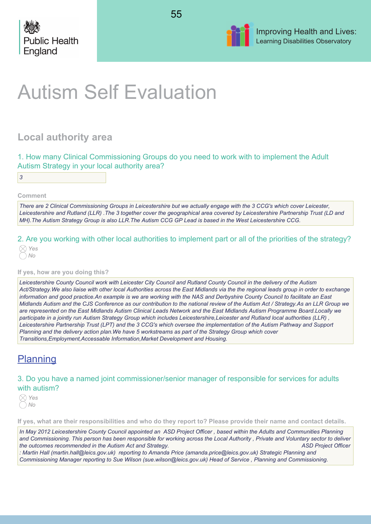





# Autism Self Evaluation

# **Local authority area**

|  |  | 1. How many Clinical Commissioning Groups do you need to work with to implement the Adult |  |  |  |  |  |  |
|--|--|-------------------------------------------------------------------------------------------|--|--|--|--|--|--|
|  |  | Autism Strategy in your local authority area?                                             |  |  |  |  |  |  |

*3*

**Comment**

*There are 2 Clinical Commissioning Groups in Leicestershire but we actually engage with the 3 CCG's which cover Leicester, Leicestershire and Rutland (LLR) .The 3 together cover the geographical area covered by Leicestershire Partnership Trust (LD and MH).The Autism Strategy Group is also LLR.The Autism CCG GP Lead is based in the West Leicestershire CCG.* 

2. Are you working with other local authorities to implement part or all of the priorities of the strategy?

# **If yes, how are you doing this?**

*Leicestershire County Council work with Leicester City Council and Rutland County Council in the delivery of the Autism Act/Strategy.We also liaise with other local Authorities across the East Midlands via the the regional leads group in order to exchange information and good practice.An example is we are working with the NAS and Derbyshire County Council to facilitate an East Midlands Autism and the CJS Conference as our contribution to the national review of the Autism Act / Strategy.As an LLR Group we are represented on the East Midlands Autism Clinical Leads Network and the East Midlands Autism Programme Board.Locally we participate in a jointly run Autism Strategy Group which includes Leicestershire,Leicester and Rutland local authorities (LLR) , Leicestershire Partnership Trust (LPT) and the 3 CCG's which oversee the implementation of the Autism Pathway and Support Planning and the delivery action plan.We have 5 workstreams as part of the Strategy Group which cover Transitions,Employment,Accessable Information,Market Development and Housing.*

# **Planning**

# 3. Do you have a named joint commissioner/senior manager of responsible for services for adults with autism?

*Yes No*

**If yes, what are their responsibilities and who do they report to? Please provide their name and contact details.**

*In May 2012 Leicestershire County Council appointed an ASD Project Officer , based within the Adults and Communities Planning and Commissioning. This person has been responsible for working across the Local Authority , Private and Voluntary sector to deliver the outcomes recommended in the Autism Act and Strategy. ASD Project Officer : Martin Hall (martin.hall@leics.gov.uk) reporting to Amanda Price (amanda.price@leics.gov.uk) Strategic Planning and*

*Commissioning Manager reporting to Sue Wilson (sue.wilson@leics.gov.uk) Head of Service , Planning and Commissioning.*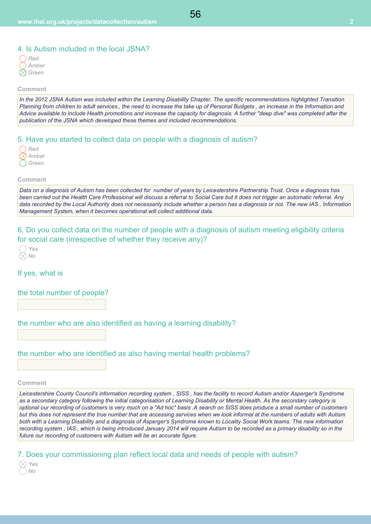56

| Rea   |
|-------|
| Amber |
| Green |

#### **Comment**

*In the 2012 JSNA Autism was included within the Learning Disability Chapter. The specific recommendations highlighted Transition Planning from children to adult services., the need to increase the take up of Personal Budgets , an increase in the Information and Advice available to include Health promotions and increase the capacity for diagnosis. A further "deep dive" was completed after the publication of the JSNA which developed these themes and included recommendations.*

# 5. Have you started to collect data on people with a diagnosis of autism?

| Red   |
|-------|
| Amber |
| Green |

# **Comment**

*Data on a diagnosis of Autism has been collected for number of years by Leicestershire Partnership Trust. Once a diagnosis has been carried out the Health Care Professional will discuss a referral to Social Care but it does not trigger an automatic referral. Any data recorded by the Local Authority does not necessarily include whether a person has a diagnosis or not. The new IAS , Information Management System, when it becomes operational will collect additional data.*

# 6. Do you collect data on the number of people with a diagnosis of autism meeting eligibility criteria for social care (irrespective of whether they receive any)?



If yes, what is

# the total number of people?

the number who are also identified as having a learning disability?

# the number who are identified as also having mental health problems?

#### **Comment**

*Leicestershire County Council's information recording system , SISS , has the facility to record Autism and/or Asperger's Syndrome as a secondary category following the initial categorisation of Learning Disability or Mental Health. As the secondary category is optional our recording of customers is very much on a "Ad hoc" basis .A search on SISS does produce a small number of customers but this does not represent the true number that are accessing services when we look informal at the numbers of adults with Autism both with a Learning Disability and a diagnosis of Asperger's Syndrome known to Locality Social Work teams. The new information recording system , IAS , which is being introduced January 2014 will require Autism to be recorded as a primary disability so in the future our recording of customers with Autism will be an accurate figure.* 

7. Does your commissioning plan reflect local data and needs of people with autism?

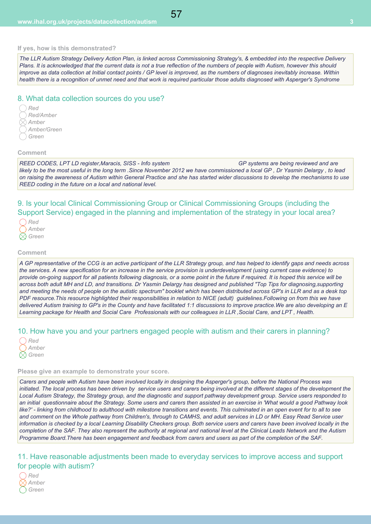#### **If yes, how is this demonstrated?**

*The LLR Autism Strategy Delivery Action Plan, is linked across Commissioning Strategy's, & embedded into the respective Delivery Plans. It is acknowledged that the current data is not a true reflection of the numbers of people with Autism, however this should improve as data collection at Initial contact points / GP level is improved, as the numbers of diagnoses inevitably increase. Within health there is a recognition of unmet need and that work is required particular those adults diagnosed with Asperger's Syndrome*

### 8. What data collection sources do you use?

*Red Red/Amber Amber Amber/Green Green*

#### **Comment**

*REED CODES, LPT LD register,Maracis, SISS - Info system GP systems are being reviewed and are likely to be the most useful in the long term .Since November 2012 we have commissioned a local GP , Dr Yasmin Delargy , to lead on raising the awareness of Autism within General Practice and she has started wider discussions to develop the mechanisms to use REED coding in the future on a local and national level.* 

9. Is your local Clinical Commissioning Group or Clinical Commissioning Groups (including the Support Service) engaged in the planning and implementation of the strategy in your local area?

| <b>Red</b> |
|------------|
| Amber      |
| () Green   |

#### **Comment**

*A GP representative of the CCG is an active participant of the LLR Strategy group, and has helped to identify gaps and needs across the services. A new specification for an increase in the service provision is underdevelopment (using current case evidence) to provide on-going support for all patients following diagnosis, or a some point in the future if required. It is hoped this service will be across both adult MH and LD, and transitions. Dr Yasmin Delargy has designed and published "Top Tips for diagnosing,supporting and meeting the needs of people on the autistic spectrum" booklet which has been distributed across GP's in LLR and as a desk top PDF resource.This resource highlighted their responsibilities in relation to NICE (adult) guidelines.Following on from this we have delivered Autism training to GP's in the County and have facilitated 1:1 discussions to improve practice.We are also developing an E Learning package for Health and Social Care Professionals with our colleagues in LLR ,Social Care, and LPT , Health.* 

# 10. How have you and your partners engaged people with autism and their carers in planning?

| Rea      |
|----------|
| Amber    |
| .) Green |

#### **Please give an example to demonstrate your score.**

*Carers and people with Autism have been involved locally in designing the Asperger's group, before the National Process was initiated. The local process has been driven by service users and carers being involved at the different stages of the development the Local Autism Strategy, the Strategy group, and the diagnostic and support pathway development group. Service users responded to an initial questionnaire about the Strategy. Some users and carers then assisted in an exercise in 'What would a good Pathway look like?' - linking from childhood to adulthood with milestone transitions and events. This culminated in an open event for to all to see and comment on the Whole pathway from Children's, through to CAMHS, and adult services in LD or MH. Easy Read Service user information is checked by a local Learning Disability Checkers group. Both service users and carers have been involved locally in the completion of the SAF. They also represent the authority at regional and national level at the Clinical Leads Network and the Autism Programme Board.There has been engagement and feedback from carers and users as part of the completion of the SAF.*

11. Have reasonable adjustments been made to everyday services to improve access and support for people with autism?

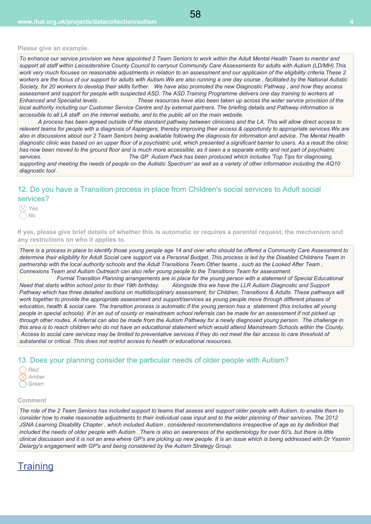#### **Please give an example.**

*To enhance our service provision we have appointed 2 Team Seniors to work within the Adult Mental Health Team to mentor and support all staff within Leicestershire County Council to carryout Community Care Assessments for adults with Autism (LD/MH).This work very much focuses on reasonable adjustments in relation to an assessment and our applicaion of the eligibility criteria.These 2 workers are the focus of our support for adults with Autism.We are also running a one day course , facilitated by the National Autistic Society, for 20 workers to develop their skills further. We have also promoted the new Diagnostic Pathway , and how they access assessment and support for people with suspected ASD. The ASD Training Programme delivers one day training to workers at Enhanced and Specialist levels . These resources have also been taken up across the wider service provision of the local authority including our Customer Service Centre and by external partners. The briefing details and Pathway information is accessible to all LA staff on the internal website, and to the public all on the main website.* 

 *A process has been agreed outside of the standard pathway between clinicians and the LA. This will allow direct access to relevent teams for people with a diagnosis of Aspergers, thereby improving their access & opportunity to appropriate services.We are also in discussions about our 2 Team Seniors being avaliable following the diagnosis for information and advice. The Mental Health diagnostic clinic was based on an upper floor of a psychiatric unit, which presented a significant barrier to users. As a result the clinic has now been moved to the ground floor and is much more accessible, as it seen a a separate entity and not part of psychiatric services. The GP Autism Pack has been produced which includes 'Top Tips for diagnosing,*

*supporting and meeting the needs of people on the Autistic Spectrum' as well as a variety of other information including the AQ10 diagnostic tool .*

# 12. Do you have a Transition process in place from Children's social services to Adult social services?

*Yes No*

**If yes, please give brief details of whether this is automatic or requires a parental request, the mechanism and any restrictions on who it applies to.**

*There is a process in place to identify those young people age 14 and over who should be offered a Community Care Assessment to determine their eligibility for Adult Social care support via a Personal Budget..This process is led by the Disabled Childrens Team in partnership with the local authority schools and the Adult Transitions Team.Other teams , such as the Looked After Team , Connexions Team and Autism Outreach can also refer young people to the Transitions Team for assessment.* 

 *Formal Transition Planning arrangements are in place for the young person with a statement of Special Educational Need that starts within school prior to their 19th birthday. Alongside this we have the LLR Autism Diagnostic and Support Pathway which has three detailed sections on multidisciplinary assessment, for Children, Transitions & Adults. These pathways will work together to provide the appropriate assessment and support/services as young people move through different phases of education, health & social care. The transition process is automatic if the young person has a statement (this includes all young people in special schools). If in an out of county or mainstream school referrals can be made for an assessment if not picked up through other routes. A referral can also be made from the Autism Pathway for a newly diagnosed young person. The challenge in this area is to reach children who do not have an educational statement which would attend Mainstream Schools within the County. Access to social care services may be limited to preventative services if they do not meet the fair access to care threshold of substantial or critical. This does not restrict access to health or educational resources.* 

### 13. Does your planning consider the particular needs of older people with Autism?

| Ken   |
|-------|
| Amber |
| Green |

#### **Comment**

*The role of the 2 Team Seniors has included support to teams that assess and support older people with Autism, to enable them to consider how to make reasonable adjustments to their individual case input and to the wider planning of their services. The 2012 JSNA Learning Disability Chapter , which included Autism , considered recommendations irrespective of age so by definition that included the needs of older people with Autism . There is also an awareness of the epidemiology for over 60's, but there is little clinical discussion and it is not an area where GP's are picking up new people. It is an issue which is being addressed with Dr Yasmin Delargy's engagement with GP's and being considered by the Autism Strategy Group.*

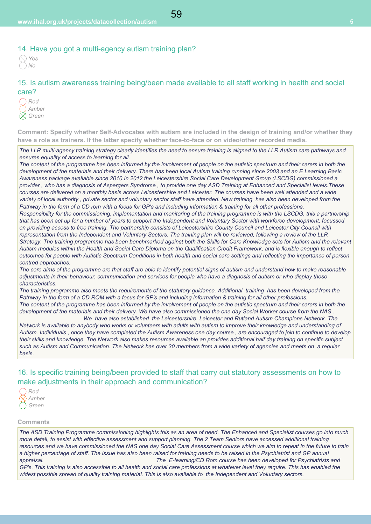# 14. Have you got a multi-agency autism training plan?

15. Is autism awareness training being/been made available to all staff working in health and social care?

*Red Amber Green*

**Comment: Specify whether Self-Advocates with autism are included in the design of training and/or whether they have a role as trainers. If the latter specify whether face-to-face or on video/other recorded media.**

*The LLR multi-agency training strategy clearly identifies the need to ensure training is aligned to the LLR Autism care pathways and ensures equality of access to learning for all.*

*The content of the programme has been informed by the involvement of people on the autistic spectrum and their carers in both the development of the materials and their delivery. There has been local Autism training running since 2003 and an E Learning Basic Awareness package avaliable since 2010.In 2012 the Leicestershire Social Care Development Group (LSCDG) commissioned a provider , who has a diagnosis of Aspergers Syndrome , to provide one day ASD Training at Enhanced and Specialist levels.These courses are delivered on a monthly basis across Leicestershire and Leicester. The courses have been well attended and a wide variety of local authority , private sector and voluntary sector staff have attended. New training has also been developed from the Pathway in the form of a CD rom with a focus for GP's and including information & training for all other professions.* 

*Responsibility for the commissioning, implementation and monitoring of the training programme is with the LSCDG, this a partnership that has been set up for a number of years to support the Independent and Voluntary Sector with workforce development, focussed on providing access to free training. The partnership consists of Leicestershire County Council and Leicester City Council with representation from the Independent and Voluntary Sectors. The training plan will be reviewed, following a review of the LLR Strategy. The training programme has been benchmarked against both the Skills for Care Knowledge sets for Autism and the relevant Autism modules within the Health and Social Care Diploma on the Qualification Credit Framework, and is flexible enough to reflect outcomes for people with Autistic Spectrum Conditions in both health and social care settings and reflecting the importance of person centred approaches.*

*The core aims of the programme are that staff are able to identify potential signs of autism and understand how to make reasonable adjustments in their behaviour, communication and services for people who have a diagnosis of autism or who display these characteristics.*

*The training programme also meets the requirements of the statutory guidance. Additional training has been developed from the Pathway in the form of a CD ROM with a focus for GP's and including information & training for all other professions. The content of the programme has been informed by the involvement of people on the autistic spectrum and their carers in both the development of the materials and their delivery. We have also commissioned the one day Social Worker course from the NAS . We have also established the Leicestershire, Leicester and Rutland Autism Champions Network. The*

*Network is available to anybody who works or volunteers with adults with autism to improve their knowledge and understanding of Autism. Individuals , once they have completed the Autism Awareness one day course , are encouraged to join to continue to develop their skills and knowledge. The Network also makes resources available an provides additional half day training on specific subject such as Autism and Communication. The Network has over 30 members from a wide variety of agencies and meets on a regular basis.*

16. Is specific training being/been provided to staff that carry out statutory assessments on how to make adjustments in their approach and communication?



#### **Comments**

*The ASD Training Programme commissioning highlights this as an area of need. The Enhanced and Specialist courses go into much more detail, to assist with effective assessment and support planning. The 2 Team Seniors have accessed additional training resources and we have commissioned the NAS one day Social Care Assessment course which we aim to repeat in the future to train a higher percentage of staff. The issue has also been raised for training needs to be raised in the Psychiatrist and GP annual appraisal. The E-learning/CD Rom course has been developed for Psychiatrists and*

*GP's. This training is also accessible to all health and social care professions at whatever level they require. This has enabled the widest possible spread of quality training material. This is also available to the Independent and Voluntary sectors.*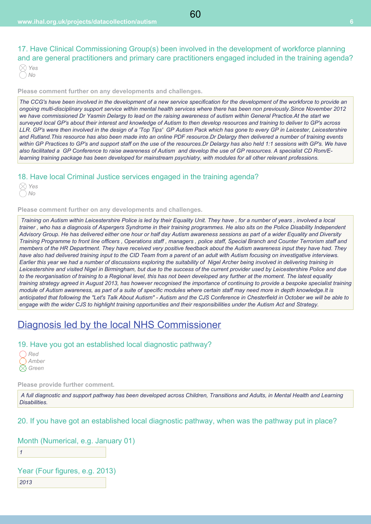17. Have Clinical Commissioning Group(s) been involved in the development of workforce planning and are general practitioners and primary care practitioners engaged included in the training agenda?

**Please comment further on any developments and challenges.**

*The CCG's have been involved in the development of a new service specification for the development of the workforce to provide an ongoing multi-disciplinary support service within mental health services where there has been non previously.Since November 2012 we have commissioned Dr Yasmin Delargy to lead on the raising awareness of autism within General Practice.At the start we surveyed local GP's about their interest and knowledge of Autism to then develop resources and training to deliver to GP's across LLR. GP's were then involved in the design of a 'Top Tips' GP Autism Pack which has gone to every GP in Leicester, Leicestershire and Rutland.This resource has also been made into an online PDF resource.Dr Delargy then delivered a number of training events within GP Practices to GP's and support staff on the use of the resources.Dr Delargy has also held 1:1 sessions with GP's. We have also facilitated a GP Conference to raise awareness of Autism and develop the use of GP resources. A specialist CD Rom/Elearning training package has been developed for mainstream psychiatry, with modules for all other relevant professions.*

# 18. Have local Criminal Justice services engaged in the training agenda?

*Yes No*

**Please comment further on any developments and challenges.**

 *Training on Autism within Leicestershire Police is led by their Equality Unit. They have , for a number of years , involved a local trainer , who has a diagnosis of Aspergers Syndrome in their training programmes. He also sits on the Police Disability Independent Advisory Group. He has delivered either one hour or half day Autism awareness sessions as part of a wider Equality and Diversity Training Programme to front line officers , Operations staff , managers , police staff, Special Branch and Counter Terrorism staff and members of the HR Department. They have received very positive feedback about the Autism awareness input they have had. They have also had delivered training input to the CID Team from a parent of an adult with Autism focusing on investigative interviews. Earlier this year we had a number of discussions exploring the suitability of Nigel Archer being involved in delivering training in Leicestershire and visited Nigel in Birmingham, but due to the success of the current provider used by Leicestershire Police and due to the reorganisation of training to a Regional level, this has not been developed any further at the moment. The latest equality training strategy agreed in August 2013, has however recognised the importance of continuing to provide a bespoke specialist training module of Autism awareness, as part of a suite of specific modules where certain staff may need more in depth knowledge.It is anticipated that following the "Let's Talk About Autism" - Autism and the CJS Conference in Chesterfield in October we will be able to engage with the wider CJS to highlight training opportunities and their responsibilities under the Autism Act and Strategy.*

# Diagnosis led by the local NHS Commissioner

# 19. Have you got an established local diagnostic pathway?

| Rea   |
|-------|
| Amber |
| Green |

**Please provide further comment.**

 *A full diagnostic and support pathway has been developed across Children, Transitions and Adults, in Mental Health and Learning Disabilities.*

20. If you have got an established local diagnostic pathway, when was the pathway put in place?

# Month (Numerical, e.g. January 01)

*1*

# Year (Four figures, e.g. 2013)

*2013*

60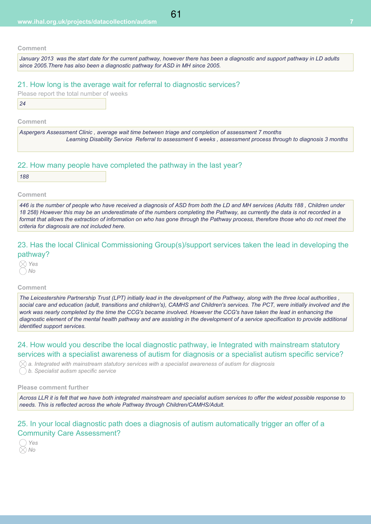*January 2013 was the start date for the current pathway, however there has been a diagnostic and support pathway in LD adults since 2005.There has also been a diagnostic pathway for ASD in MH since 2005.*

### 21. How long is the average wait for referral to diagnostic services?

|    |  | Please report the total number of weeks |  |
|----|--|-----------------------------------------|--|
| 24 |  |                                         |  |

#### **Comment**

*Aspergers Assessment Clinic , average wait time between triage and completion of assessment 7 months Learning Disability Service Referral to assessment 6 weeks , assessment process through to diagnosis 3 months* 

### 22. How many people have completed the pathway in the last year?

#### **Comment**

*446 is the number of people who have received a diagnosis of ASD from both the LD and MH services (Adults 188 , Children under 18 258) However this may be an underestimate of the numbers completing the Pathway, as currently the data is not recorded in a format that allows the extraction of information on who has gone through the Pathway process, therefore those who do not meet the criteria for diagnosis are not included here.* 

# 23. Has the local Clinical Commissioning Group(s)/support services taken the lead in developing the pathway?

*Yes No*

#### **Comment**

*The Leicestershire Partnership Trust (LPT) initially lead in the development of the Pathway, along with the three local authorities , social care and education (adult, transitions and children's), CAMHS and Children's services. The PCT, were initially involved and the work was nearly completed by the time the CCG's became involved. However the CCG's have taken the lead in enhancing the diagnostic element of the mental health pathway and are assisting in the development of a service specification to provide additional identified support services.*

# 24. How would you describe the local diagnostic pathway, ie Integrated with mainstream statutory services with a specialist awareness of autism for diagnosis or a specialist autism specific service?

 $\Diamond$  a. Integrated with mainstream statutory services with a specialist awareness of autism for diagnosis *b. Specialist autism specific service*

#### **Please comment further**

*Across LLR it is felt that we have both integrated mainstream and specialist autism services to offer the widest possible response to needs. This is reflected across the whole Pathway through Children/CAMHS/Adult.*

# 25. In your local diagnostic path does a diagnosis of autism automatically trigger an offer of a Community Care Assessment?

*Yes No*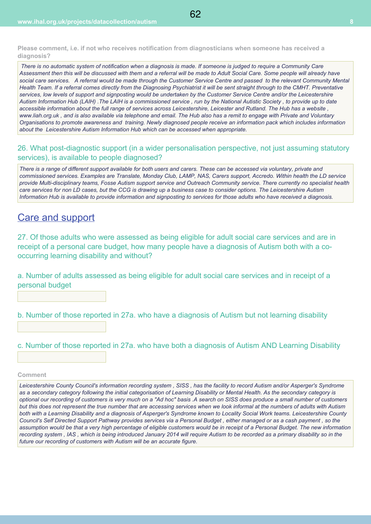**Please comment, i.e. if not who receives notification from diagnosticians when someone has received a diagnosis?**

 *There is no automatic system of notification when a diagnosis is made. If someone is judged to require a Community Care Assessment then this will be discussed with them and a referral will be made to Adult Social Care. Some people will already have social care services. A referral would be made through the Customer Service Centre and passed to the relevant Community Mental Health Team. If a referral comes directly from the Diagnosing Psychiatrist it will be sent straight through to the CMHT. Preventative services, low levels of support and signposting would be undertaken by the Customer Service Centre and/or the Leicestershire Autism Information Hub (LAIH) .The LAIH is a commissioned service , run by the National Autistic Society , to provide up to date accessible information about the full range of services across Leicestershire, Leicester and Rutland. The Hub has a website , www.liah.org.uk , and is also available via telephone and email. The Hub also has a remit to engage with Private and Voluntary Organisations to promote awareness and training. Newly diagnosed people receive an information pack which includes information about the Leicestershire Autism Information Hub which can be accessed when appropriate.*

62

26. What post-diagnostic support (in a wider personalisation perspective, not just assuming statutory services), is available to people diagnosed?

*There is a range of different support available for both users and carers. These can be accessed via voluntary, private and commissioned services. Examples are Translate, Monday Club, LAMP, NAS, Carers support, Accredo. Within health the LD service provide Multi-disciplinary teams, Fosse Autism support service and Outreach Community service. There currently no specialist health care services for non LD cases, but the CCG is drawing up a business case to consider options. The Leicestershire Autism Information Hub is available to provide information and signposting to services for those adults who have received a diagnosis.*

# Care and support

27. Of those adults who were assessed as being eligible for adult social care services and are in receipt of a personal care budget, how many people have a diagnosis of Autism both with a cooccurring learning disability and without?

a. Number of adults assessed as being eligible for adult social care services and in receipt of a personal budget

b. Number of those reported in 27a. who have a diagnosis of Autism but not learning disability

c. Number of those reported in 27a. who have both a diagnosis of Autism AND Learning Disability

#### **Comment**

*Leicestershire County Council's information recording system , SISS , has the facility to record Autism and/or Asperger's Syndrome as a secondary category following the initial categorisation of Learning Disability or Mental Health. As the secondary category is optional our recording of customers is very much on a "Ad hoc" basis .A search on SISS does produce a small number of customers but this does not represent the true number that are accessing services when we look informal at the numbers of adults with Autism both with a Learning Disability and a diagnosis of Asperger's Syndrome known to Locality Social Work teams. Leicestershire County Council's Self Directed Support Pathway provides services via a Personal Budget , either managed or as a cash payment , so the assumption would be that a very high percentage of eligible customers would be in receipt of a Personal Budget. The new information recording system , IAS , which is being introduced January 2014 will require Autism to be recorded as a primary disability so in the* future our recording of customers with Autism will be an accurate figure.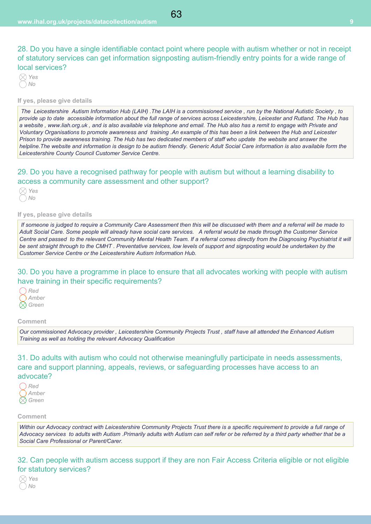28. Do you have a single identifiable contact point where people with autism whether or not in receipt of statutory services can get information signposting autism-friendly entry points for a wide range of local services?

### **If yes, please give details**

 *The Leicestershire Autism Information Hub (LAIH) .The LAIH is a commissioned service , run by the National Autistic Society , to provide up to date accessible information about the full range of services across Leicestershire, Leicester and Rutland. The Hub has a website , www.liah.org.uk , and is also available via telephone and email. The Hub also has a remit to engage with Private and Voluntary Organisations to promote awareness and training .An example of this has been a link between the Hub and Leicester Prison to provide awareness training. The Hub has two dedicated members of staff who update the website and answer the helpline.The website and information is design to be autism friendly. Generic Adult Social Care information is also available form the Leicestershire County Council Customer Service Centre.*

# 29. Do you have a recognised pathway for people with autism but without a learning disability to access a community care assessment and other support?



### **If yes, please give details**

 *If someone is judged to require a Community Care Assessment then this will be discussed with them and a referral will be made to Adult Social Care. Some people will already have social care services. A referral would be made through the Customer Service Centre and passed to the relevant Community Mental Health Team. If a referral comes directly from the Diagnosing Psychiatrist it will be sent straight through to the CMHT . Preventative services, low levels of support and signposting would be undertaken by the Customer Service Centre or the Leicestershire Autism Information Hub.*

# 30. Do you have a programme in place to ensure that all advocates working with people with autism have training in their specific requirements?

*Red Amber Green*

#### **Comment**

*Our commissioned Advocacy provider , Leicestershire Community Projects Trust , staff have all attended the Enhanced Autism Training as well as holding the relevant Advocacy Qualification* 

31. Do adults with autism who could not otherwise meaningfully participate in needs assessments, care and support planning, appeals, reviews, or safeguarding processes have access to an advocate?

| Ked   |
|-------|
| Amber |
| Green |

#### **Comment**

*Within our Advocacy contract with Leicestershire Community Projects Trust there is a specific requirement to provide a full range of Advocacy services to adults with Autism .Primarily adults with Autism can self refer or be referred by a third party whether that be a Social Care Professional or Parent/Carer.* 

32. Can people with autism access support if they are non Fair Access Criteria eligible or not eligible for statutory services?

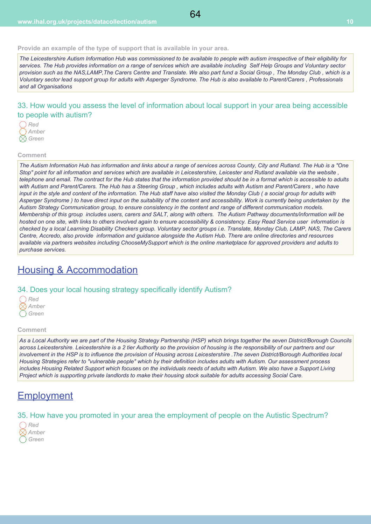#### **Provide an example of the type of support that is available in your area.**

*The Leicestershire Autism Information Hub was commissioned to be available to people with autism irrespective of their eligibility for services. The Hub provides information on a range of services which are available including Self Help Groups and Voluntary sector provision such as the NAS,LAMP,The Carers Centre and Translate. We also part fund a Social Group , The Monday Club , which is a Voluntary sector lead support group for adults with Asperger Syndrome. The Hub is also available to Parent/Carers , Professionals and all Organisations*

# 33. How would you assess the level of information about local support in your area being accessible to people with autism?



#### **Comment**

*The Autism Information Hub has information and links about a range of services across County, City and Rutland. The Hub is a "One Stop" point for all information and services which are available in Leicestershire, Leicester and Rutland available via the website , telephone and email. The contract for the Hub states that the information provided should be in a format which is accessible to adults with Autism and Parent/Carers. The Hub has a Steering Group , which includes adults with Autism and Parent/Carers , who have input in the style and content of the information. The Hub staff have also visited the Monday Club ( a social group for adults with Asperger Syndrome ) to have direct input on the suitability of the content and accessibility. Work is currently being undertaken by the Autism Strategy Communication group, to ensure consistency in the content and range of different communication models. Membership of this group includes users, carers and SALT, along with others. The Autism Pathway documents/information will be hosted on one site, with links to others involved again to ensure accessibility & consistency. Easy Read Service user information is checked by a local Learning Disability Checkers group. Voluntary sector groups i.e. Translate, Monday Club, LAMP, NAS, The Carers Centre, Accredo, also provide information and guidance alongside the Autism Hub. There are online directories and resources available via partners websites including ChooseMySupport which is the online marketplace for approved providers and adults to purchase services.*

# Housing & Accommodation

### 34. Does your local housing strategy specifically identify Autism?

| Ked   |
|-------|
| Amber |
| Green |

#### **Comment**

*As a Local Authority we are part of the Housing Strategy Partnership (HSP) which brings together the seven District/Borough Councils across Leicestershire. Leicestershire is a 2 tier Authority so the provision of housing is the responsibility of our partners and our involvement in the HSP is to influence the provision of Housing across Leicestershire .The seven District/Borough Authorities local Housing Strategies refer to "vulnerable people" which by their definition includes adults with Autism. Our assessment process includes Housing Related Support which focuses on the individuals needs of adults with Autism. We also have a Support Living Project which is supporting private landlords to make their housing stock suitable for adults accessing Social Care.*

# **Employment**

# 35. How have you promoted in your area the employment of people on the Autistic Spectrum?

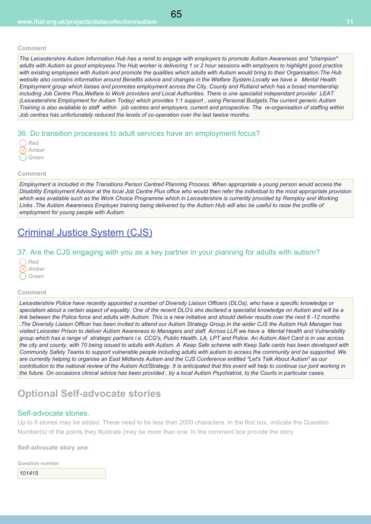*The Leicestershire Autism Information Hub has a remit to engage with employers to promote Autism Awareness and "champion" adults with Autism as good employees.The Hub worker is delivering 1 or 2 hour sessions with employers to highlight good practice with existing employees with Autism and promote the qualities which adults with Autism would bring to their Organisation.The Hub website also contains information around Benefits advice and changes in the Welfare System.Locally we have a Mental Health Employment group which liaises and promotes employment across the City, County and Rutland which has a broad membership including Job Centre Plus,Welfare to Work providers and Local Authorities. There is one specialist independant provider LEAT (Leicestershire Employment for Autism Today) which provides 1:1 support , using Personal Budgets.The current generic Autism Training is also avaliable to staff within job centres and employers, current and prospective. The re-organisation of staffing within Job centres has unfortunately reduced the levels of co-operation over the last twelve months.* 

# 36. Do transition processes to adult services have an employment focus?

| Ked   |
|-------|
| Amber |
| Green |

## **Comment**

*Employment is included in the Transitions Person Centred Planning Process. When appropriate a young person would access the Disability Employment Advisor at the local Job Centre Plus office who would then refer the individual to the most appropriate provision which was available such as the Work Choice Programme which in Leicestershire is currently provided by Remploy and Working Links .The Autism Awareness Employer training being delivered by the Autism Hub will also be useful to raise the profile of employment for young people with Autism.*

# Criminal Justice System (CJS)

# 37. Are the CJS engaging with you as a key partner in your planning for adults with autism?

| Red   |
|-------|
| Amber |
| Green |

#### **Comment**

*Leicestershire Police have recently appointed a number of Diversity Liaison Officers (DLOs), who have a specific knowledge or specialism about a certain aspect of equality. One of the recent DLO's ahs declared a specialist knowledge on Autism and will be a link between the Police force and adults with Autism. This is a new initiative and should deliver results over the next 6 -12 months .The Diversity Liaison Officer has been invited to attend our Autism Strategy Group.In the wider CJS the Autism Hub Manager has visited Leicester Prison to deliver Autism Awareness to Managers and staff. Across LLR we have a Mental Health and Vulnerability group which has a range of strategic partners i.e. CCG's, Public Health, LA, LPT and Police. An Autism Alert Card is in use across the city and county, with 70 being issued to adults with Autism. A Keep Safe scheme with Keep Safe cards has been developed with Community Safety Teams to support vulnerable people including adults with autism to access the community and be supported. We are currently helping to organise an East Midlands Autism and the CJS Conference entitled "Let's Talk About Autism" as our contribution to the national review of the Autism Act/Strategy. It is anticipated that this event will help to continue our joint working in the future. On occasions clinical advice has been provided , by a local Autism Psychiatrist, to the Courts in particular cases.*

# **Optional Self-advocate stories**

# Self-advocate stories.

Up to 5 stories may be added. These need to be less than 2000 characters. In the first box, indicate the Question Number(s) of the points they illustrate (may be more than one. In the comment box provide the story.

**Self-advocate story one**

| <b>Question number</b> |  |
|------------------------|--|
| 101415                 |  |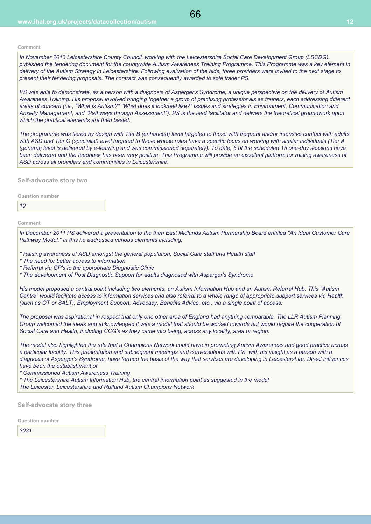*In November 2013 Leicestershire County Council, working with the Leicestershire Social Care Development Group (LSCDG), published the tendering document for the countywide Autism Awareness Training Programme. This Programme was a key element in delivery of the Autism Strategy in Leicestershire. Following evaluation of the bids, three providers were invited to the next stage to present their tendering proposals. The contract was consequently awarded to sole trader PS.*

*PS was able to demonstrate, as a person with a diagnosis of Asperger's Syndrome, a unique perspective on the delivery of Autism Awareness Training. His proposal involved bringing together a group of practising professionals as trainers, each addressing different areas of concern (i.e., "What is Autism?" "What does it look/feel like?" Issues and strategies in Environment, Communication and Anxiety Management, and "Pathways through Assessment"). PS is the lead facilitator and delivers the theoretical groundwork upon which the practical elements are then based.*

*The programme was tiered by design with Tier B (enhanced) level targeted to those with frequent and/or intensive contact with adults with ASD and Tier C (specialist) level targeted to those whose roles have a specific focus on working with similar individuals (Tier A (general) level is delivered by e-learning and was commissioned separately). To date, 5 of the scheduled 15 one-day sessions have been delivered and the feedback has been very positive. This Programme will provide an excellent platform for raising awareness of ASD across all providers and communities in Leicestershire.*

**Self-advocate story two**

**Question number**

*10*

**Comment**

*In December 2011 PS delivered a presentation to the then East Midlands Autism Partnership Board entitled "An Ideal Customer Care Pathway Model." In this he addressed various elements including:* 

- *\* Raising awareness of ASD amongst the general population, Social Care staff and Health staff*
- *\* The need for better access to information*
- *\* Referral via GP's to the appropriate Diagnostic Clinic*
- *\* The development of Post Diagnostic Support for adults diagnosed with Asperger's Syndrome*

*His model proposed a central point including two elements, an Autism Information Hub and an Autism Referral Hub. This "Autism Centre" would facilitate access to information services and also referral to a whole range of appropriate support services via Health (such as OT or SALT), Employment Support, Advocacy, Benefits Advice, etc., via a single point of access.*

*The proposal was aspirational in respect that only one other area of England had anything comparable. The LLR Autism Planning Group welcomed the ideas and acknowledged it was a model that should be worked towards but would require the cooperation of Social Care and Health, including CCG's as they came into being, across any locality, area or region.*

*The model also highlighted the role that a Champions Network could have in promoting Autism Awareness and good practice across a particular locality. This presentation and subsequent meetings and conversations with PS, with his insight as a person with a diagnosis of Asperger's Syndrome, have formed the basis of the way that services are developing in Leicestershire. Direct influences have been the establishment of* 

*\* Commissioned Autism Awareness Training*

*\* The Leicestershire Autism Information Hub, the central information point as suggested in the model The Leicester, Leicestershire and Rutland Autism Champions Network*

**Self-advocate story three**

**Question number**

*3031*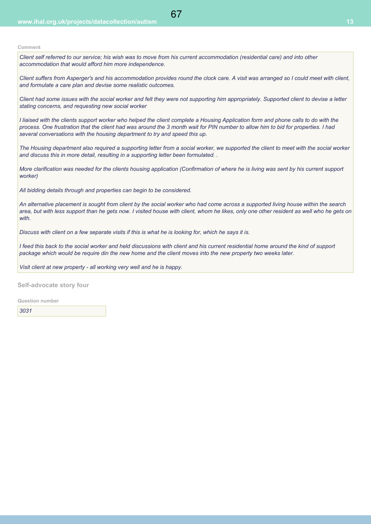*Client self referred to our service; his wish was to move from his current accommodation (residential care) and into other accommodation that would afford him more independence.*

67

*Client suffers from Asperger's and his accommodation provides round the clock care. A visit was arranged so I could meet with client, and formulate a care plan and devise some realistic outcomes.*

*Client had some issues with the social worker and felt they were not supporting him appropriately. Supported client to devise a letter stating concerns, and requesting new social worker*

*I liaised with the clients support worker who helped the client complete a Housing Application form and phone calls to do with the process. One frustration that the client had was around the 3 month wait for PIN number to allow him to bid for properties. I had several conversations with the housing department to try and speed this up.* 

*The Housing department also required a supporting letter from a social worker, we supported the client to meet with the social worker and discuss this in more detail, resulting in a supporting letter been formulated. .*

*More clarification was needed for the clients housing application (Confirmation of where he is living was sent by his current support worker)*

*All bidding details through and properties can begin to be considered.* 

*An alternative placement is sought from client by the social worker who had come across a supported living house within the search area, but with less support than he gets now. I visited house with client, whom he likes, only one other resident as well who he gets on with.*

*Discuss with client on a few separate visits if this is what he is looking for, which he says it is.* 

*I feed this back to the social worker and held discussions with client and his current residential home around the kind of support package which would be require din the new home and the client moves into the new property two weeks later.*

*Visit client at new property - all working very well and he is happy.* 

**Self-advocate story four**

**Question number**

*3031*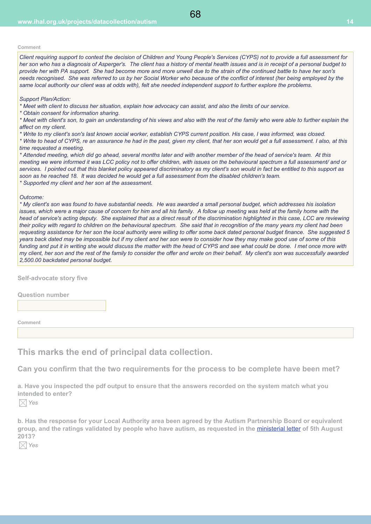*Client requiring support to contest the decision of Children and Young People's Services (CYPS) not to provide a full assessment for her son who has a diagnosis of Asperger's. The client has a history of mental health issues and is in receipt of a personal budget to provide her with PA support. She had become more and more unwell due to the strain of the continued battle to have her son's needs recognised. She was referred to us by her Social Worker who because of the conflict of interest (her being employed by the same local authority our client was at odds with), felt she needed independent support to further explore the problems.*

#### *Support Plan/Action:*

*\* Meet with client to discuss her situation, explain how advocacy can assist, and also the limits of our service.* 

*\* Obtain consent for information sharing.*

*\* Meet with client's son, to gain an understanding of his views and also with the rest of the family who were able to further explain the affect on my client.*

*\* Write to my client's son's last known social worker, establish CYPS current position. His case, I was informed, was closed.*

*\* Write to head of CYPS, re an assurance he had in the past, given my client, that her son would get a full assessment. I also, at this time requested a meeting.*

*\* Attended meeting, which did go ahead, several months later and with another member of the head of service's team. At this meeting we were informed it was LCC policy not to offer children, with issues on the behavioural spectrum a full assessment/ and or services. I pointed out that this blanket policy appeared discriminatory as my client's son would in fact be entitled to this support as soon as he reached 18. It was decided he would get a full assessment from the disabled children's team. \* Supported my client and her son at the assessment.*

#### *Outcome:*

*\* My client's son was found to have substantial needs. He was awarded a small personal budget, which addresses his isolation* issues, which were a major cause of concern for him and all his family. A follow up meeting was held at the family home with the *head of service's acting deputy. She explained that as a direct result of the discrimination highlighted in this case, LCC are reviewing their policy with regard to children on the behavioural spectrum. She said that in recognition of the many years my client had been requesting assistance for her son the local authority were willing to offer some back dated personal budget finance. She suggested 5 years back dated may be impossible but if my client and her son were to consider how they may make good use of some of this funding and put it in writing she would discuss the matter with the head of CYPS and see what could be done. I met once more with my client, her son and the rest of the family to consider the offer and wrote on their behalf. My client's son was successfully awarded 2,500.00 backdated personal budget.*

**Self-advocate story five**

**Question number**

**Comment**

# **This marks the end of principal data collection.**

**Can you confirm that the two requirements for the process to be complete have been met?**

**a. Have you inspected the pdf output to ensure that the answers recorded on the system match what you intended to enter?**

*Yes*

**b. Has the response for your Local Authority area been agreed by the Autism Partnership Board or equivalent group, and the ratings validated by people who have autism, as requested in the** ministerial letter **of 5th August 2013?**

*Yes*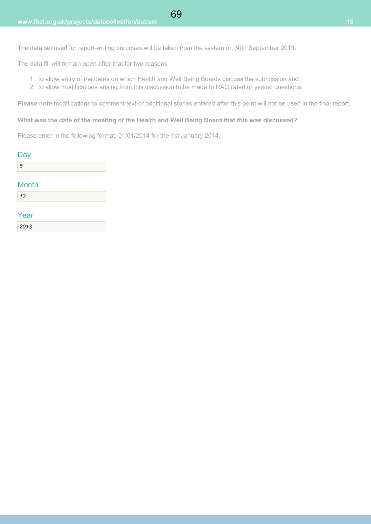The data set used for report-writing purposes will be taken from the system on 30th September 2013.

The data fill will remain open after that for two reasons:

- 1. to allow entry of the dates on which Health and Well Being Boards discuss the submission and
- 2. to allow modifications arising from this discussion to be made to RAG rated or yes/no questions.

**Please note** modifications to comment text or additional stories entered after this point will not be used in the final report.

**What was the date of the meeting of the Health and Well Being Board that this was discussed?**

Please enter in the following format: 01/01/2014 for the 1st January 2014.

| Day          |  |
|--------------|--|
| 5            |  |
|              |  |
| <b>Month</b> |  |
| 12           |  |

| Year |  |  |
|------|--|--|
| 2013 |  |  |